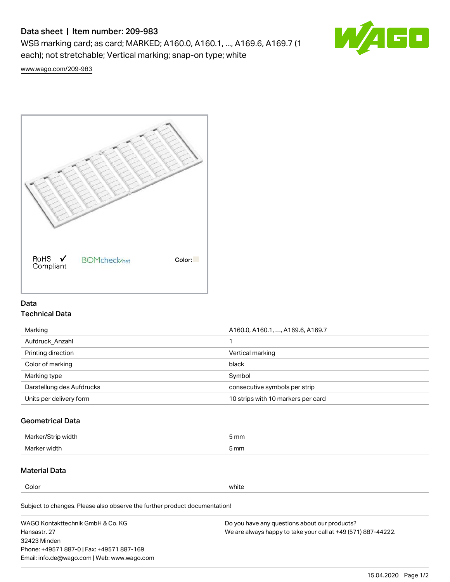# Data sheet | Item number: 209-983

WSB marking card; as card; MARKED; A160.0, A160.1, ..., A169.6, A169.7 (1 each); not stretchable; Vertical marking; snap-on type; white



[www.wago.com/209-983](http://www.wago.com/209-983)



## Data Technical Data

| Marking                   | A160.0, A160.1, , A169.6, A169.7   |
|---------------------------|------------------------------------|
| Aufdruck Anzahl           |                                    |
| Printing direction        | Vertical marking                   |
| Color of marking          | black                              |
| Marking type              | Symbol                             |
| Darstellung des Aufdrucks | consecutive symbols per strip      |
| Units per delivery form   | 10 strips with 10 markers per card |

## Geometrical Data

| طلقاء ئ<br><b>Marker</b><br>widtr | ັກmm |
|-----------------------------------|------|
| Marker width                      | 5 mm |

# Material Data

Color white

Subject to changes. Please also observe the further product documentation!

WAGO Kontakttechnik GmbH & Co. KG Hansastr. 27 32423 Minden Phone: +49571 887-0 | Fax: +49571 887-169 Email: info.de@wago.com | Web: www.wago.com Do you have any questions about our products? We are always happy to take your call at +49 (571) 887-44222.